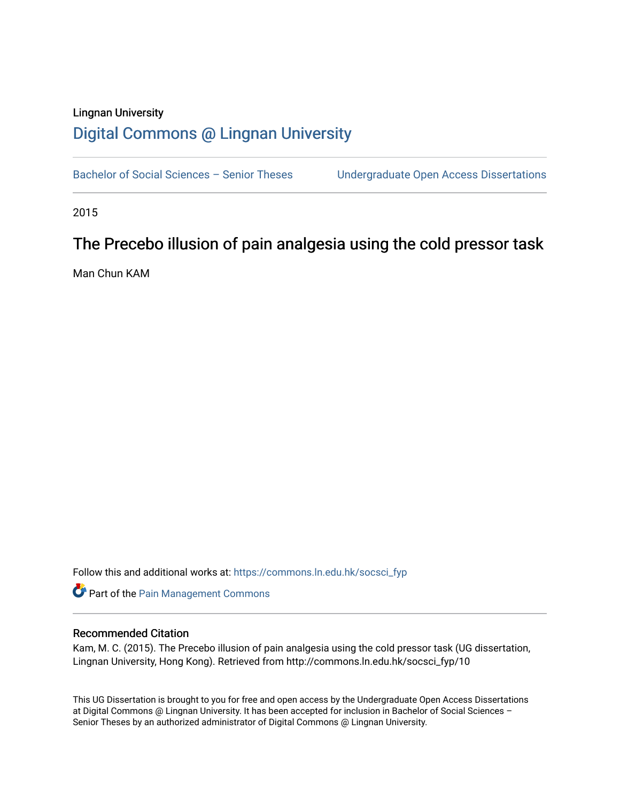# Lingnan University [Digital Commons @ Lingnan University](https://commons.ln.edu.hk/)

Bachelor of Social Sciences - Senior Theses Undergraduate Open Access Dissertations

2015

# The Precebo illusion of pain analgesia using the cold pressor task

Man Chun KAM

Follow this and additional works at: [https://commons.ln.edu.hk/socsci\\_fyp](https://commons.ln.edu.hk/socsci_fyp?utm_source=commons.ln.edu.hk%2Fsocsci_fyp%2F10&utm_medium=PDF&utm_campaign=PDFCoverPages)

Part of the [Pain Management Commons](http://network.bepress.com/hgg/discipline/1274?utm_source=commons.ln.edu.hk%2Fsocsci_fyp%2F10&utm_medium=PDF&utm_campaign=PDFCoverPages) 

# Recommended Citation

Kam, M. C. (2015). The Precebo illusion of pain analgesia using the cold pressor task (UG dissertation, Lingnan University, Hong Kong). Retrieved from http://commons.ln.edu.hk/socsci\_fyp/10

This UG Dissertation is brought to you for free and open access by the Undergraduate Open Access Dissertations at Digital Commons @ Lingnan University. It has been accepted for inclusion in Bachelor of Social Sciences – Senior Theses by an authorized administrator of Digital Commons @ Lingnan University.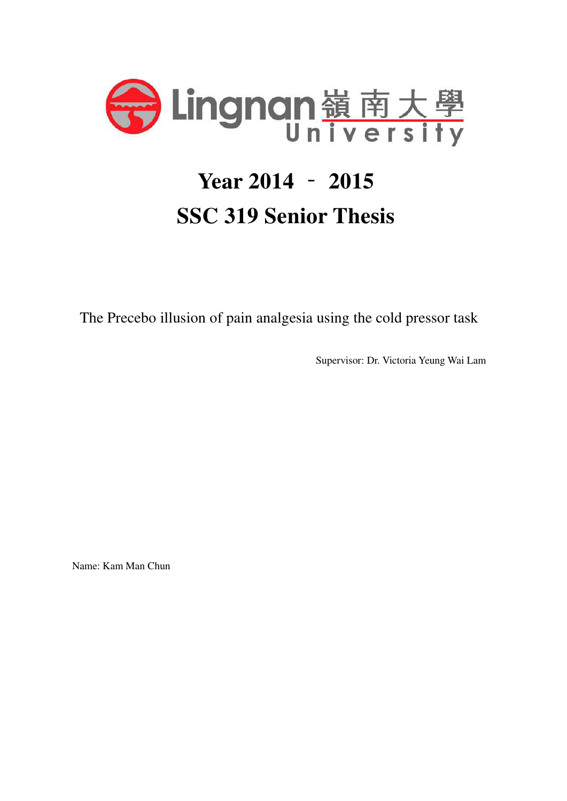

# **Year 2014** ‑ **2015 SSC 319 Senior Thesis**

The Precebo illusion of pain analgesia using the cold pressor task

Supervisor: Dr. Victoria Yeung Wai Lam

Name: Kam Man Chun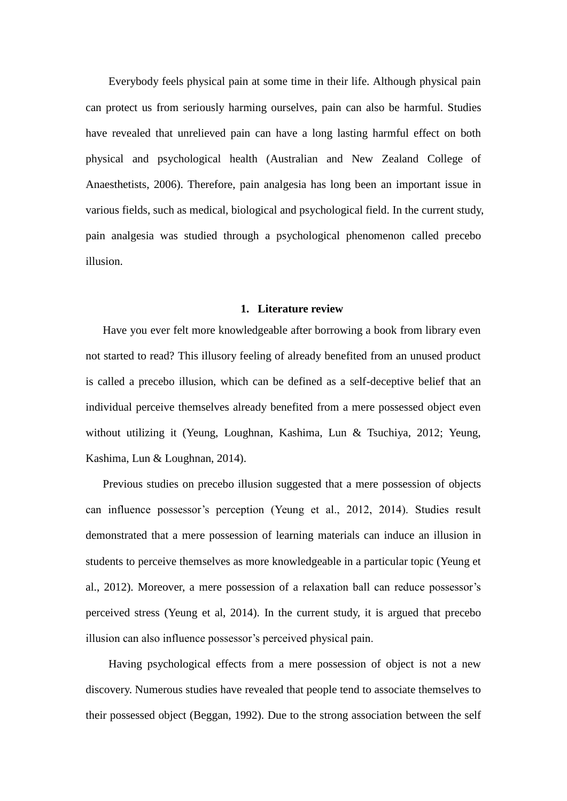Everybody feels physical pain at some time in their life. Although physical pain can protect us from seriously harming ourselves, pain can also be harmful. Studies have revealed that unrelieved pain can have a long lasting harmful effect on both physical and psychological health (Australian and New Zealand College of Anaesthetists, 2006). Therefore, pain analgesia has long been an important issue in various fields, such as medical, biological and psychological field. In the current study, pain analgesia was studied through a psychological phenomenon called precebo illusion.

## **1. Literature review**

Have you ever felt more knowledgeable after borrowing a book from library even not started to read? This illusory feeling of already benefited from an unused product is called a precebo illusion, which can be defined as a self-deceptive belief that an individual perceive themselves already benefited from a mere possessed object even without utilizing it (Yeung, Loughnan, Kashima, Lun & Tsuchiya, 2012; Yeung, Kashima, Lun & Loughnan, 2014).

Previous studies on precebo illusion suggested that a mere possession of objects can influence possessor's perception (Yeung et al., 2012, 2014). Studies result demonstrated that a mere possession of learning materials can induce an illusion in students to perceive themselves as more knowledgeable in a particular topic (Yeung et al., 2012). Moreover, a mere possession of a relaxation ball can reduce possessor's perceived stress (Yeung et al, 2014). In the current study, it is argued that precebo illusion can also influence possessor's perceived physical pain.

Having psychological effects from a mere possession of object is not a new discovery. Numerous studies have revealed that people tend to associate themselves to their possessed object (Beggan, 1992). Due to the strong association between the self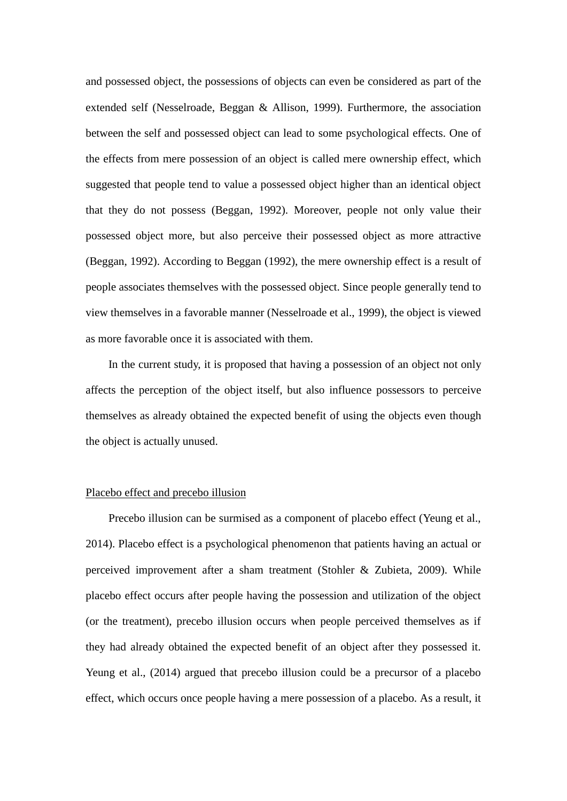and possessed object, the possessions of objects can even be considered as part of the extended self (Nesselroade, Beggan & Allison, 1999). Furthermore, the association between the self and possessed object can lead to some psychological effects. One of the effects from mere possession of an object is called mere ownership effect, which suggested that people tend to value a possessed object higher than an identical object that they do not possess (Beggan, 1992). Moreover, people not only value their possessed object more, but also perceive their possessed object as more attractive (Beggan, 1992). According to Beggan (1992), the mere ownership effect is a result of people associates themselves with the possessed object. Since people generally tend to view themselves in a favorable manner (Nesselroade et al., 1999), the object is viewed as more favorable once it is associated with them.

In the current study, it is proposed that having a possession of an object not only affects the perception of the object itself, but also influence possessors to perceive themselves as already obtained the expected benefit of using the objects even though the object is actually unused.

#### Placebo effect and precebo illusion

Precebo illusion can be surmised as a component of placebo effect (Yeung et al., 2014). Placebo effect is a psychological phenomenon that patients having an actual or perceived improvement after a sham treatment (Stohler & Zubieta, 2009). While placebo effect occurs after people having the possession and utilization of the object (or the treatment), precebo illusion occurs when people perceived themselves as if they had already obtained the expected benefit of an object after they possessed it. Yeung et al., (2014) argued that precebo illusion could be a precursor of a placebo effect, which occurs once people having a mere possession of a placebo. As a result, it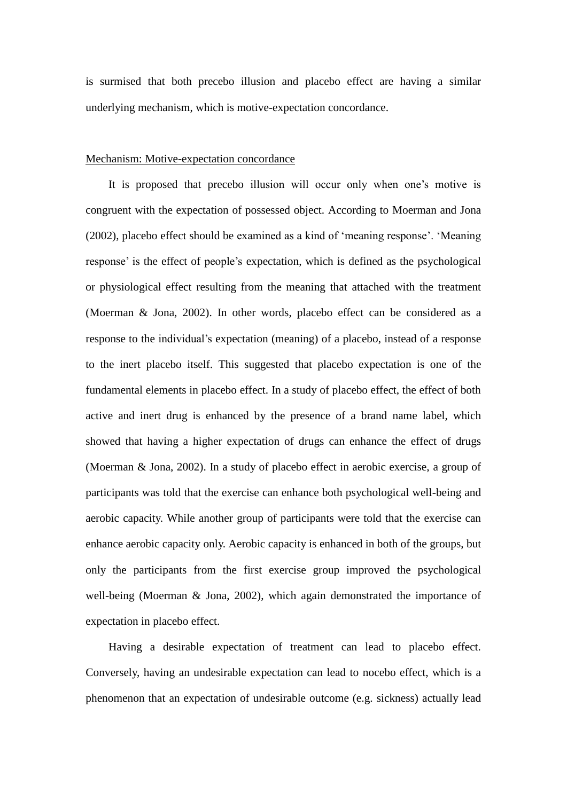is surmised that both precebo illusion and placebo effect are having a similar underlying mechanism, which is motive-expectation concordance.

#### Mechanism: Motive-expectation concordance

It is proposed that precebo illusion will occur only when one's motive is congruent with the expectation of possessed object. According to Moerman and Jona (2002), placebo effect should be examined as a kind of 'meaning response'. 'Meaning response' is the effect of people's expectation, which is defined as the psychological or physiological effect resulting from the meaning that attached with the treatment (Moerman & Jona, 2002). In other words, placebo effect can be considered as a response to the individual's expectation (meaning) of a placebo, instead of a response to the inert placebo itself. This suggested that placebo expectation is one of the fundamental elements in placebo effect. In a study of placebo effect, the effect of both active and inert drug is enhanced by the presence of a brand name label, which showed that having a higher expectation of drugs can enhance the effect of drugs (Moerman & Jona, 2002). In a study of placebo effect in aerobic exercise, a group of participants was told that the exercise can enhance both psychological well-being and aerobic capacity. While another group of participants were told that the exercise can enhance aerobic capacity only. Aerobic capacity is enhanced in both of the groups, but only the participants from the first exercise group improved the psychological well-being (Moerman & Jona, 2002), which again demonstrated the importance of expectation in placebo effect.

Having a desirable expectation of treatment can lead to placebo effect. Conversely, having an undesirable expectation can lead to nocebo effect, which is a phenomenon that an expectation of undesirable outcome (e.g. sickness) actually lead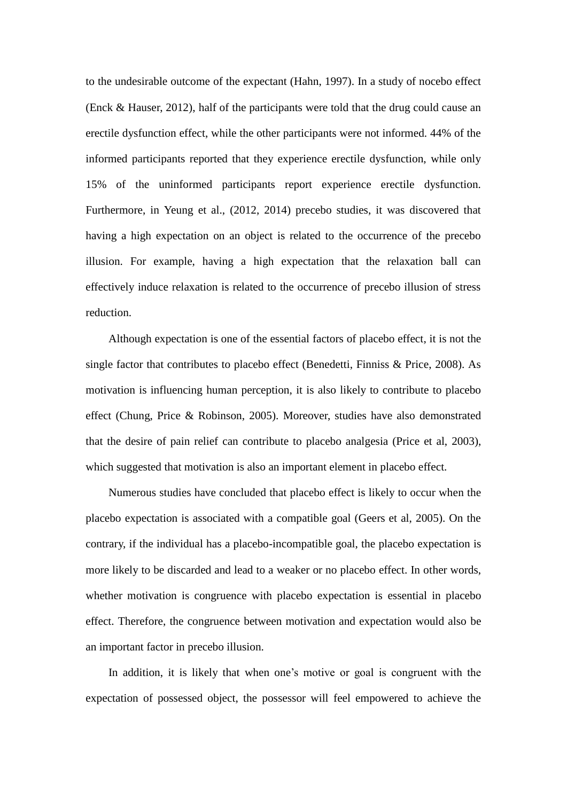to the undesirable outcome of the expectant (Hahn, 1997). In a study of nocebo effect (Enck & Hauser, 2012), half of the participants were told that the drug could cause an erectile dysfunction effect, while the other participants were not informed. 44% of the informed participants reported that they experience erectile dysfunction, while only 15% of the uninformed participants report experience erectile dysfunction. Furthermore, in Yeung et al., (2012, 2014) precebo studies, it was discovered that having a high expectation on an object is related to the occurrence of the precebo illusion. For example, having a high expectation that the relaxation ball can effectively induce relaxation is related to the occurrence of precebo illusion of stress reduction.

Although expectation is one of the essential factors of placebo effect, it is not the single factor that contributes to placebo effect (Benedetti, Finniss & Price, 2008). As motivation is influencing human perception, it is also likely to contribute to placebo effect (Chung, Price & Robinson, 2005). Moreover, studies have also demonstrated that the desire of pain relief can contribute to placebo analgesia (Price et al, 2003), which suggested that motivation is also an important element in placebo effect.

Numerous studies have concluded that placebo effect is likely to occur when the placebo expectation is associated with a compatible goal (Geers et al, 2005). On the contrary, if the individual has a placebo-incompatible goal, the placebo expectation is more likely to be discarded and lead to a weaker or no placebo effect. In other words, whether motivation is congruence with placebo expectation is essential in placebo effect. Therefore, the congruence between motivation and expectation would also be an important factor in precebo illusion.

In addition, it is likely that when one's motive or goal is congruent with the expectation of possessed object, the possessor will feel empowered to achieve the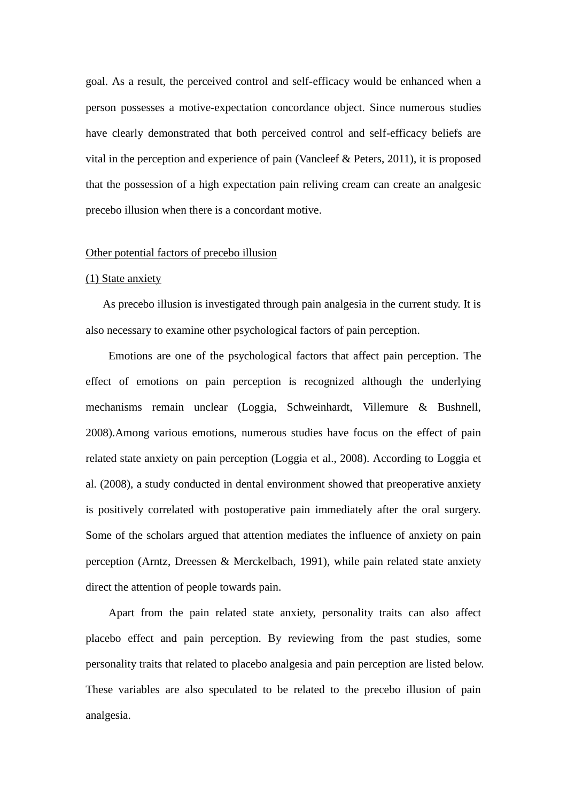goal. As a result, the perceived control and self-efficacy would be enhanced when a person possesses a motive-expectation concordance object. Since numerous studies have clearly demonstrated that both perceived control and self-efficacy beliefs are vital in the perception and experience of pain (Vancleef & Peters, 2011), it is proposed that the possession of a high expectation pain reliving cream can create an analgesic precebo illusion when there is a concordant motive.

#### Other potential factors of precebo illusion

#### (1) State anxiety

As precebo illusion is investigated through pain analgesia in the current study. It is also necessary to examine other psychological factors of pain perception.

Emotions are one of the psychological factors that affect pain perception. The effect of emotions on pain perception is recognized although the underlying mechanisms remain unclear (Loggia, Schweinhardt, Villemure & Bushnell, 2008).Among various emotions, numerous studies have focus on the effect of pain related state anxiety on pain perception (Loggia et al., 2008). According to Loggia et al. (2008), a study conducted in dental environment showed that preoperative anxiety is positively correlated with postoperative pain immediately after the oral surgery. Some of the scholars argued that attention mediates the influence of anxiety on pain perception (Arntz, Dreessen & Merckelbach, 1991), while pain related state anxiety direct the attention of people towards pain.

Apart from the pain related state anxiety, personality traits can also affect placebo effect and pain perception. By reviewing from the past studies, some personality traits that related to placebo analgesia and pain perception are listed below. These variables are also speculated to be related to the precebo illusion of pain analgesia.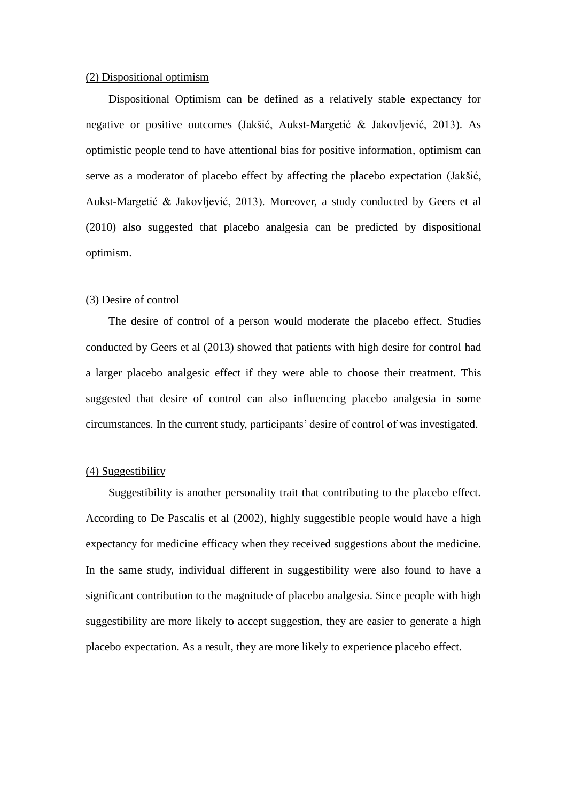#### (2) Dispositional optimism

Dispositional Optimism can be defined as a relatively stable expectancy for negative or positive outcomes (Jakšić, Aukst-Margetić & Jakovljević, 2013). As optimistic people tend to have attentional bias for positive information, optimism can serve as a moderator of placebo effect by affecting the placebo expectation (Jakšić, Aukst-Margetić & Jakovljević, 2013). Moreover, a study conducted by Geers et al (2010) also suggested that placebo analgesia can be predicted by dispositional optimism.

### (3) Desire of control

The desire of control of a person would moderate the placebo effect. Studies conducted by Geers et al (2013) showed that patients with high desire for control had a larger placebo analgesic effect if they were able to choose their treatment. This suggested that desire of control can also influencing placebo analgesia in some circumstances. In the current study, participants' desire of control of was investigated.

### (4) Suggestibility

Suggestibility is another personality trait that contributing to the placebo effect. According to De Pascalis et al (2002), highly suggestible people would have a high expectancy for medicine efficacy when they received suggestions about the medicine. In the same study, individual different in suggestibility were also found to have a significant contribution to the magnitude of placebo analgesia. Since people with high suggestibility are more likely to accept suggestion, they are easier to generate a high placebo expectation. As a result, they are more likely to experience placebo effect.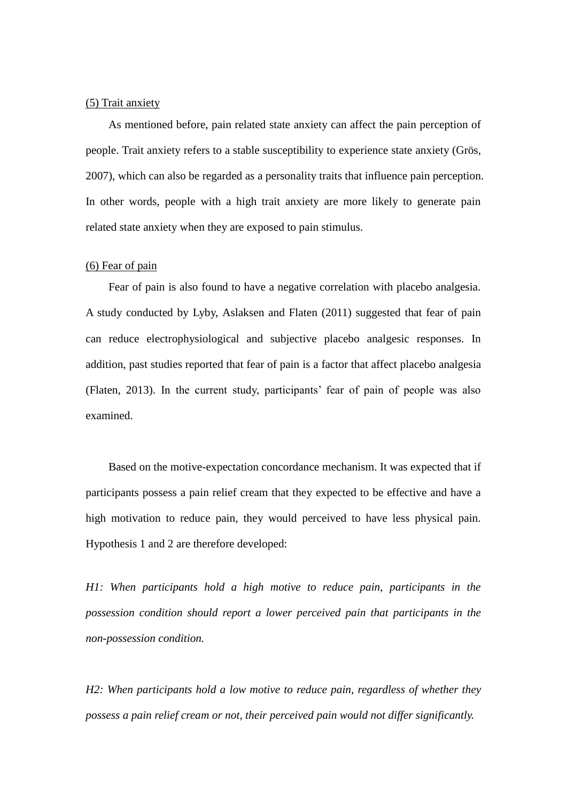## (5) Trait anxiety

As mentioned before, pain related state anxiety can affect the pain perception of people. Trait anxiety refers to a stable susceptibility to experience state anxiety (Grös, 2007), which can also be regarded as a personality traits that influence pain perception. In other words, people with a high trait anxiety are more likely to generate pain related state anxiety when they are exposed to pain stimulus.

#### (6) Fear of pain

Fear of pain is also found to have a negative correlation with placebo analgesia. A study conducted by Lyby, Aslaksen and Flaten (2011) suggested that fear of pain can reduce electrophysiological and subjective placebo analgesic responses. In addition, past studies reported that fear of pain is a factor that affect placebo analgesia (Flaten, 2013). In the current study, participants' fear of pain of people was also examined.

Based on the motive-expectation concordance mechanism. It was expected that if participants possess a pain relief cream that they expected to be effective and have a high motivation to reduce pain, they would perceived to have less physical pain. Hypothesis 1 and 2 are therefore developed:

*H1: When participants hold a high motive to reduce pain, participants in the possession condition should report a lower perceived pain that participants in the non-possession condition.*

*H2: When participants hold a low motive to reduce pain, regardless of whether they possess a pain relief cream or not, their perceived pain would not differ significantly.*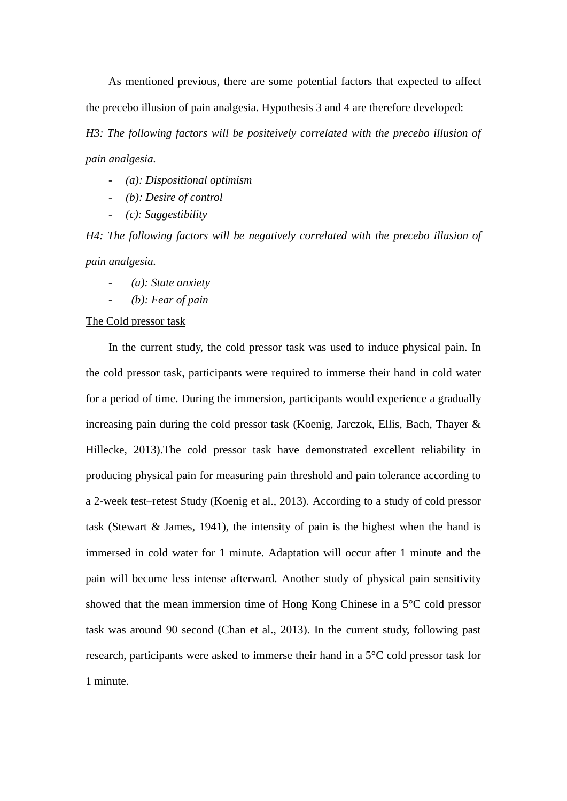As mentioned previous, there are some potential factors that expected to affect the precebo illusion of pain analgesia. Hypothesis 3 and 4 are therefore developed:

*H3: The following factors will be positeively correlated with the precebo illusion of pain analgesia.*

- *(a): Dispositional optimism*
- *(b): Desire of control*
- *(c): Suggestibility*

*H4: The following factors will be negatively correlated with the precebo illusion of pain analgesia.*

- *- (a): State anxiety*
- *- (b): Fear of pain*

#### The Cold pressor task

In the current study, the cold pressor task was used to induce physical pain. In the cold pressor task, participants were required to immerse their hand in cold water for a period of time. During the immersion, participants would experience a gradually increasing pain during the cold pressor task (Koenig, Jarczok, Ellis, Bach, Thayer & Hillecke, 2013).The cold pressor task have demonstrated excellent reliability in producing physical pain for measuring pain threshold and pain tolerance according to a 2-week test–retest Study (Koenig et al., 2013). According to a study of cold pressor task (Stewart & James, 1941), the intensity of pain is the highest when the hand is immersed in cold water for 1 minute. Adaptation will occur after 1 minute and the pain will become less intense afterward. Another study of physical pain sensitivity showed that the mean immersion time of Hong Kong Chinese in a 5°C cold pressor task was around 90 second (Chan et al., 2013). In the current study, following past research, participants were asked to immerse their hand in a 5°C cold pressor task for 1 minute.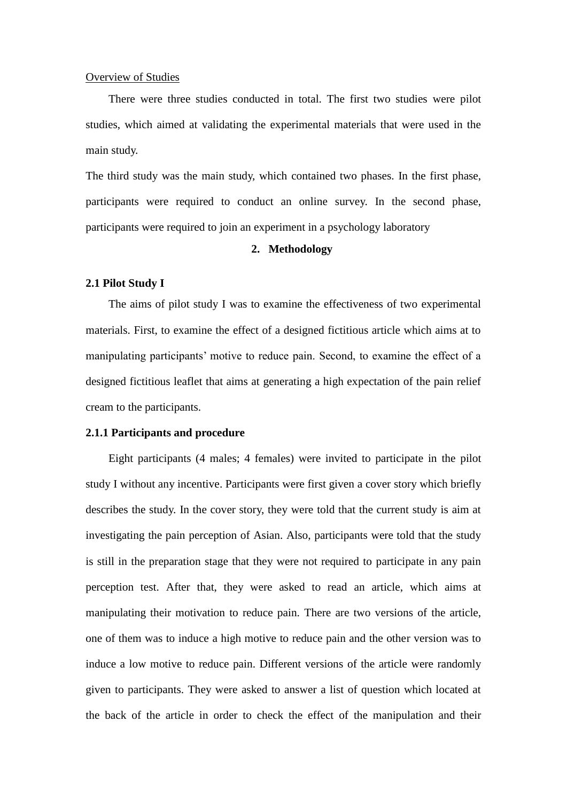#### Overview of Studies

There were three studies conducted in total. The first two studies were pilot studies, which aimed at validating the experimental materials that were used in the main study.

The third study was the main study, which contained two phases. In the first phase, participants were required to conduct an online survey. In the second phase, participants were required to join an experiment in a psychology laboratory

# **2. Methodology**

#### **2.1 Pilot Study I**

The aims of pilot study I was to examine the effectiveness of two experimental materials. First, to examine the effect of a designed fictitious article which aims at to manipulating participants' motive to reduce pain. Second, to examine the effect of a designed fictitious leaflet that aims at generating a high expectation of the pain relief cream to the participants.

#### **2.1.1 Participants and procedure**

Eight participants (4 males; 4 females) were invited to participate in the pilot study I without any incentive. Participants were first given a cover story which briefly describes the study. In the cover story, they were told that the current study is aim at investigating the pain perception of Asian. Also, participants were told that the study is still in the preparation stage that they were not required to participate in any pain perception test. After that, they were asked to read an article, which aims at manipulating their motivation to reduce pain. There are two versions of the article, one of them was to induce a high motive to reduce pain and the other version was to induce a low motive to reduce pain. Different versions of the article were randomly given to participants. They were asked to answer a list of question which located at the back of the article in order to check the effect of the manipulation and their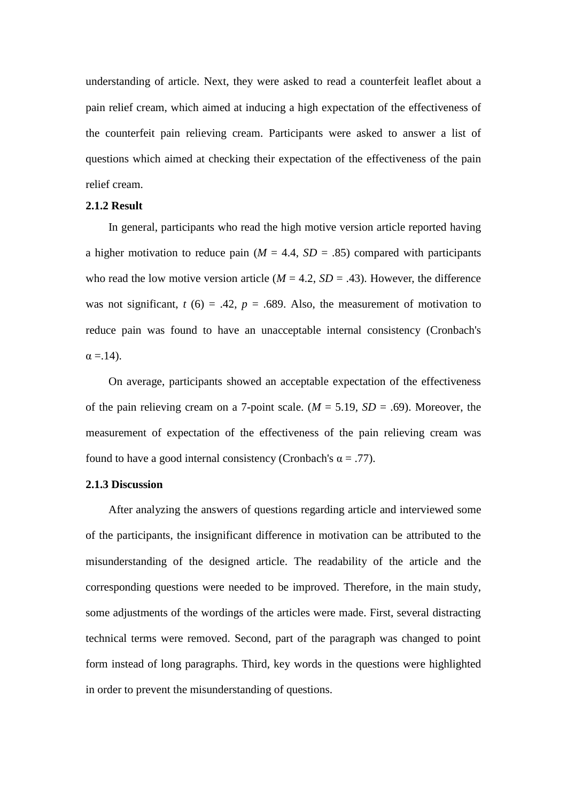understanding of article. Next, they were asked to read a counterfeit leaflet about a pain relief cream, which aimed at inducing a high expectation of the effectiveness of the counterfeit pain relieving cream. Participants were asked to answer a list of questions which aimed at checking their expectation of the effectiveness of the pain relief cream.

#### **2.1.2 Result**

In general, participants who read the high motive version article reported having a higher motivation to reduce pain  $(M = 4.4, SD = .85)$  compared with participants who read the low motive version article  $(M = 4.2, SD = .43)$ . However, the difference was not significant,  $t(6) = .42$ ,  $p = .689$ . Also, the measurement of motivation to reduce pain was found to have an unacceptable internal consistency (Cronbach's  $\alpha = 14$ ).

On average, participants showed an acceptable expectation of the effectiveness of the pain relieving cream on a 7-point scale.  $(M = 5.19, SD = .69)$ . Moreover, the measurement of expectation of the effectiveness of the pain relieving cream was found to have a good internal consistency (Cronbach's  $\alpha = .77$ ).

### **2.1.3 Discussion**

After analyzing the answers of questions regarding article and interviewed some of the participants, the insignificant difference in motivation can be attributed to the misunderstanding of the designed article. The readability of the article and the corresponding questions were needed to be improved. Therefore, in the main study, some adjustments of the wordings of the articles were made. First, several distracting technical terms were removed. Second, part of the paragraph was changed to point form instead of long paragraphs. Third, key words in the questions were highlighted in order to prevent the misunderstanding of questions.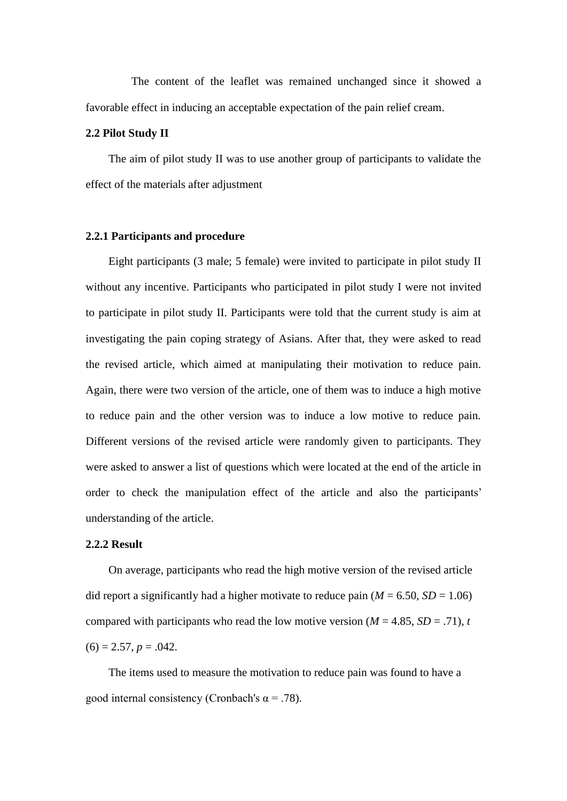The content of the leaflet was remained unchanged since it showed a favorable effect in inducing an acceptable expectation of the pain relief cream.

#### **2.2 Pilot Study II**

The aim of pilot study II was to use another group of participants to validate the effect of the materials after adjustment

#### **2.2.1 Participants and procedure**

Eight participants (3 male; 5 female) were invited to participate in pilot study II without any incentive. Participants who participated in pilot study I were not invited to participate in pilot study II. Participants were told that the current study is aim at investigating the pain coping strategy of Asians. After that, they were asked to read the revised article, which aimed at manipulating their motivation to reduce pain. Again, there were two version of the article, one of them was to induce a high motive to reduce pain and the other version was to induce a low motive to reduce pain. Different versions of the revised article were randomly given to participants. They were asked to answer a list of questions which were located at the end of the article in order to check the manipulation effect of the article and also the participants' understanding of the article.

#### **2.2.2 Result**

On average, participants who read the high motive version of the revised article did report a significantly had a higher motivate to reduce pain  $(M = 6.50, SD = 1.06)$ compared with participants who read the low motive version ( $M = 4.85$ ,  $SD = .71$ ), *t*  $(6) = 2.57, p = .042.$ 

The items used to measure the motivation to reduce pain was found to have a good internal consistency (Cronbach's  $\alpha$  = .78).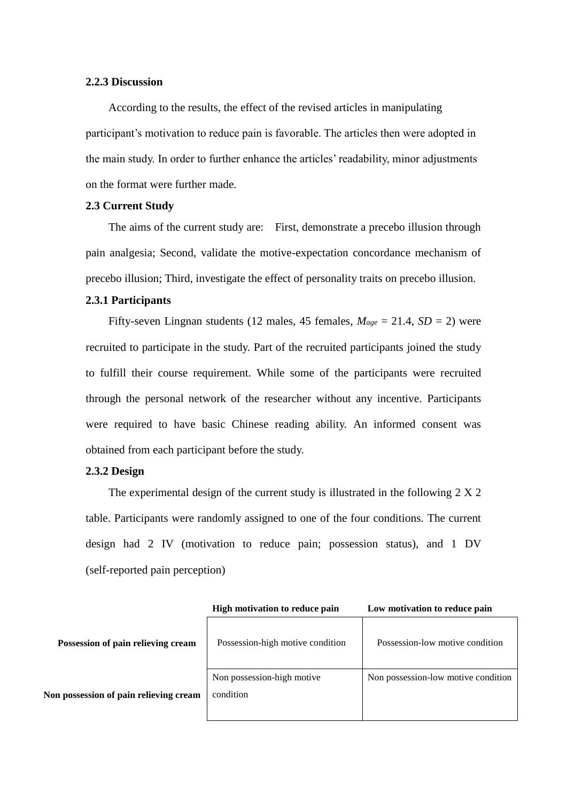# **2.2.3 Discussion**

According to the results, the effect of the revised articles in manipulating participant's motivation to reduce pain is favorable. The articles then were adopted in the main study. In order to further enhance the articles' readability, minor adjustments on the format were further made.

# **2.3 Current Study**

The aims of the current study are: First, demonstrate a precebo illusion through pain analgesia; Second, validate the motive-expectation concordance mechanism of precebo illusion; Third, investigate the effect of personality traits on precebo illusion.

# **2.3.1 Participants**

Fifty-seven Lingnan students (12 males, 45 females,  $M_{age} = 21.4$ ,  $SD = 2$ ) were recruited to participate in the study. Part of the recruited participants joined the study to fulfill their course requirement. While some of the participants were recruited through the personal network of the researcher without any incentive. Participants were required to have basic Chinese reading ability. An informed consent was obtained from each participant before the study.

### **2.3.2 Design**

The experimental design of the current study is illustrated in the following 2 X 2 table. Participants were randomly assigned to one of the four conditions. The current design had 2 IV (motivation to reduce pain; possession status), and 1 DV (self-reported pain perception)

|                                        | High motivation to reduce pain          | Low motivation to reduce pain       |  |
|----------------------------------------|-----------------------------------------|-------------------------------------|--|
| Possession of pain relieving cream     | Possession-high motive condition        | Possession-low motive condition     |  |
| Non possession of pain relieving cream | Non possession-high motive<br>condition | Non possession-low motive condition |  |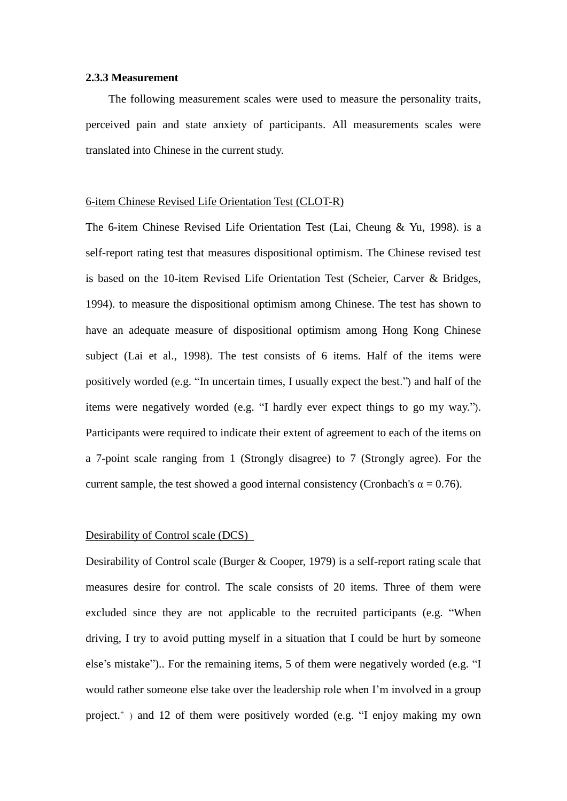#### **2.3.3 Measurement**

The following measurement scales were used to measure the personality traits, perceived pain and state anxiety of participants. All measurements scales were translated into Chinese in the current study.

#### 6-item Chinese Revised Life Orientation Test (CLOT-R)

The 6-item Chinese Revised Life Orientation Test (Lai, Cheung & Yu, 1998). is a self-report rating test that measures dispositional optimism. The Chinese revised test is based on the 10-item Revised Life Orientation Test (Scheier, Carver & Bridges, 1994). to measure the dispositional optimism among Chinese. The test has shown to have an adequate measure of dispositional optimism among Hong Kong Chinese subject (Lai et al., 1998). The test consists of 6 items. Half of the items were positively worded (e.g. "In uncertain times, I usually expect the best.") and half of the items were negatively worded (e.g. "I hardly ever expect things to go my way."). Participants were required to indicate their extent of agreement to each of the items on a 7-point scale ranging from 1 (Strongly disagree) to 7 (Strongly agree). For the current sample, the test showed a good internal consistency (Cronbach's  $\alpha = 0.76$ ).

# Desirability of Control scale (DCS)

Desirability of Control scale (Burger & Cooper, 1979) is a self-report rating scale that measures desire for control. The scale consists of 20 items. Three of them were excluded since they are not applicable to the recruited participants (e.g. "When driving, I try to avoid putting myself in a situation that I could be hurt by someone else's mistake").. For the remaining items, 5 of them were negatively worded (e.g. "I would rather someone else take over the leadership role when I'm involved in a group project.") and 12 of them were positively worded (e.g. "I enjoy making my own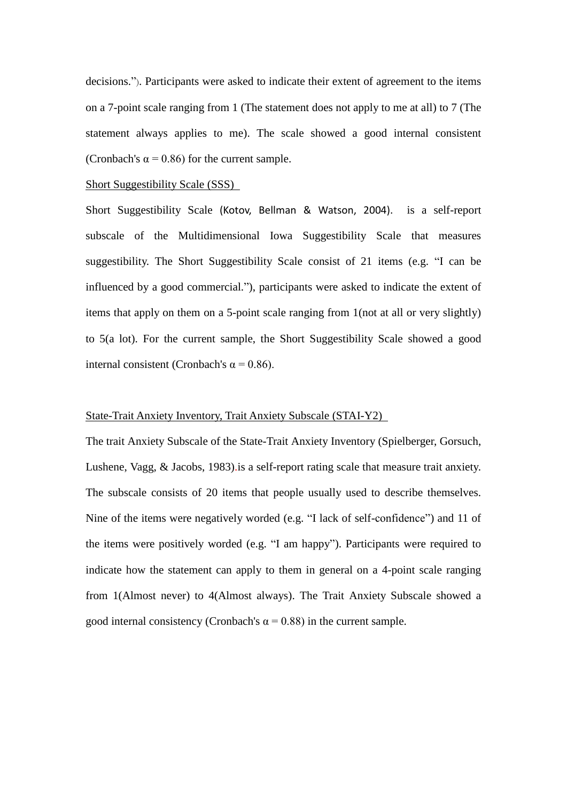decisions."). Participants were asked to indicate their extent of agreement to the items on a 7-point scale ranging from 1 (The statement does not apply to me at all) to 7 (The statement always applies to me). The scale showed a good internal consistent (Cronbach's  $\alpha$  = 0.86) for the current sample.

#### Short Suggestibility Scale (SSS)

Short Suggestibility Scale (Kotov, Bellman & Watson, 2004). is a self-report subscale of the Multidimensional Iowa Suggestibility Scale that measures suggestibility. The Short Suggestibility Scale consist of 21 items (e.g. "I can be influenced by a good commercial."), participants were asked to indicate the extent of items that apply on them on a 5-point scale ranging from 1(not at all or very slightly) to 5(a lot). For the current sample, the Short Suggestibility Scale showed a good internal consistent (Cronbach's α = 0.86).

# State-Trait Anxiety Inventory, Trait Anxiety Subscale (STAI-Y2)

The trait Anxiety Subscale of the State-Trait Anxiety Inventory (Spielberger, Gorsuch, Lushene, Vagg, & Jacobs, 1983).is a self-report rating scale that measure trait anxiety. The subscale consists of 20 items that people usually used to describe themselves. Nine of the items were negatively worded (e.g. "I lack of self-confidence") and 11 of the items were positively worded (e.g. "I am happy"). Participants were required to indicate how the statement can apply to them in general on a 4-point scale ranging from 1(Almost never) to 4(Almost always). The Trait Anxiety Subscale showed a good internal consistency (Cronbach's  $\alpha$  = 0.88) in the current sample.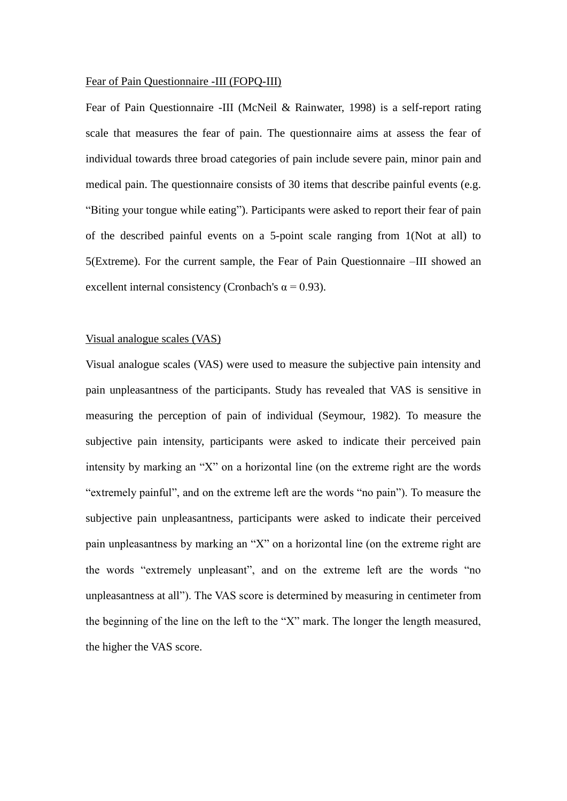#### Fear of Pain Questionnaire -III (FOPQ-III)

Fear of Pain Questionnaire -III (McNeil & Rainwater, 1998) is a self-report rating scale that measures the fear of pain. The questionnaire aims at assess the fear of individual towards three broad categories of pain include severe pain, minor pain and medical pain. The questionnaire consists of 30 items that describe painful events (e.g. "Biting your tongue while eating"). Participants were asked to report their fear of pain of the described painful events on a 5-point scale ranging from 1(Not at all) to 5(Extreme). For the current sample, the Fear of Pain Questionnaire –III showed an excellent internal consistency (Cronbach's  $\alpha$  = 0.93).

# Visual analogue scales (VAS)

Visual analogue scales (VAS) were used to measure the subjective pain intensity and pain unpleasantness of the participants. Study has revealed that VAS is sensitive in measuring the perception of pain of individual (Seymour, 1982). To measure the subjective pain intensity, participants were asked to indicate their perceived pain intensity by marking an "X" on a horizontal line (on the extreme right are the words "extremely painful", and on the extreme left are the words "no pain"). To measure the subjective pain unpleasantness, participants were asked to indicate their perceived pain unpleasantness by marking an "X" on a horizontal line (on the extreme right are the words "extremely unpleasant", and on the extreme left are the words "no unpleasantness at all"). The VAS score is determined by measuring in centimeter from the beginning of the line on the left to the "X" mark. The longer the length measured, the higher the VAS score.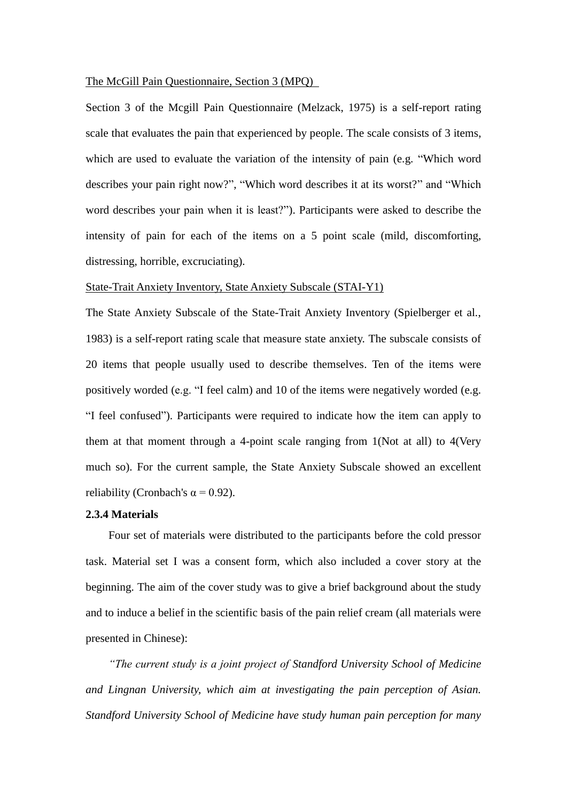#### The McGill Pain Questionnaire, Section 3 (MPQ)

Section 3 of the Mcgill Pain Questionnaire (Melzack, 1975) is a self-report rating scale that evaluates the pain that experienced by people. The scale consists of 3 items, which are used to evaluate the variation of the intensity of pain (e.g. "Which word describes your pain right now?", "Which word describes it at its worst?" and "Which word describes your pain when it is least?"). Participants were asked to describe the intensity of pain for each of the items on a 5 point scale (mild, discomforting, distressing, horrible, excruciating).

## State-Trait Anxiety Inventory, State Anxiety Subscale (STAI-Y1)

The State Anxiety Subscale of the State-Trait Anxiety Inventory (Spielberger et al., 1983) is a self-report rating scale that measure state anxiety. The subscale consists of 20 items that people usually used to describe themselves. Ten of the items were positively worded (e.g. "I feel calm) and 10 of the items were negatively worded (e.g. "I feel confused"). Participants were required to indicate how the item can apply to them at that moment through a 4-point scale ranging from 1(Not at all) to 4(Very much so). For the current sample, the State Anxiety Subscale showed an excellent reliability (Cronbach's  $\alpha$  = 0.92).

#### **2.3.4 Materials**

Four set of materials were distributed to the participants before the cold pressor task. Material set I was a consent form, which also included a cover story at the beginning. The aim of the cover study was to give a brief background about the study and to induce a belief in the scientific basis of the pain relief cream (all materials were presented in Chinese):

*"The current study is a joint project of Standford University School of Medicine and Lingnan University, which aim at investigating the pain perception of Asian. Standford University School of Medicine have study human pain perception for many*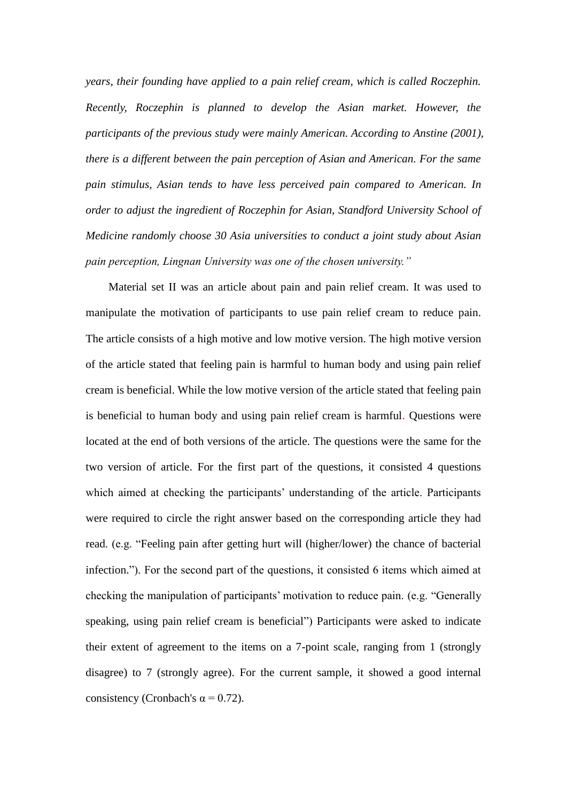*years, their founding have applied to a pain relief cream, which is called Roczephin. Recently, Roczephin is planned to develop the Asian market. However, the participants of the previous study were mainly American. According to Anstine (2001), there is a different between the pain perception of Asian and American. For the same pain stimulus, Asian tends to have less perceived pain compared to American. In order to adjust the ingredient of Roczephin for Asian, Standford University School of Medicine randomly choose 30 Asia universities to conduct a joint study about Asian pain perception, Lingnan University was one of the chosen university."*

Material set II was an article about pain and pain relief cream. It was used to manipulate the motivation of participants to use pain relief cream to reduce pain. The article consists of a high motive and low motive version. The high motive version of the article stated that feeling pain is harmful to human body and using pain relief cream is beneficial. While the low motive version of the article stated that feeling pain is beneficial to human body and using pain relief cream is harmful. Questions were located at the end of both versions of the article. The questions were the same for the two version of article. For the first part of the questions, it consisted 4 questions which aimed at checking the participants' understanding of the article. Participants were required to circle the right answer based on the corresponding article they had read. (e.g. "Feeling pain after getting hurt will (higher/lower) the chance of bacterial infection."). For the second part of the questions, it consisted 6 items which aimed at checking the manipulation of participants' motivation to reduce pain. (e.g. "Generally speaking, using pain relief cream is beneficial") Participants were asked to indicate their extent of agreement to the items on a 7-point scale, ranging from 1 (strongly disagree) to 7 (strongly agree). For the current sample, it showed a good internal consistency (Cronbach's  $\alpha$  = 0.72).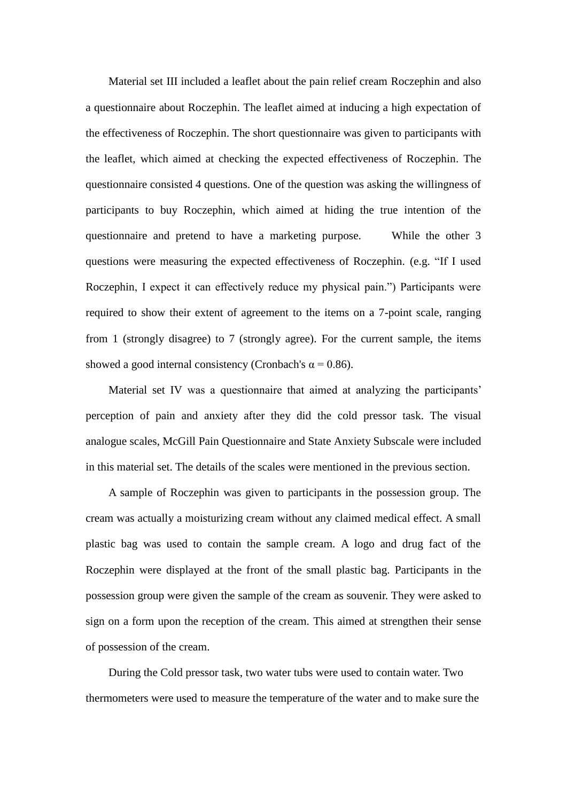Material set III included a leaflet about the pain relief cream Roczephin and also a questionnaire about Roczephin. The leaflet aimed at inducing a high expectation of the effectiveness of Roczephin. The short questionnaire was given to participants with the leaflet, which aimed at checking the expected effectiveness of Roczephin. The questionnaire consisted 4 questions. One of the question was asking the willingness of participants to buy Roczephin, which aimed at hiding the true intention of the questionnaire and pretend to have a marketing purpose. While the other 3 questions were measuring the expected effectiveness of Roczephin. (e.g. "If I used Roczephin, I expect it can effectively reduce my physical pain.") Participants were required to show their extent of agreement to the items on a 7-point scale, ranging from 1 (strongly disagree) to 7 (strongly agree). For the current sample, the items showed a good internal consistency (Cronbach's  $\alpha$  = 0.86).

Material set IV was a questionnaire that aimed at analyzing the participants' perception of pain and anxiety after they did the cold pressor task. The visual analogue scales, McGill Pain Questionnaire and State Anxiety Subscale were included in this material set. The details of the scales were mentioned in the previous section.

A sample of Roczephin was given to participants in the possession group. The cream was actually a moisturizing cream without any claimed medical effect. A small plastic bag was used to contain the sample cream. A logo and drug fact of the Roczephin were displayed at the front of the small plastic bag. Participants in the possession group were given the sample of the cream as souvenir. They were asked to sign on a form upon the reception of the cream. This aimed at strengthen their sense of possession of the cream.

During the Cold pressor task, two water tubs were used to contain water. Two thermometers were used to measure the temperature of the water and to make sure the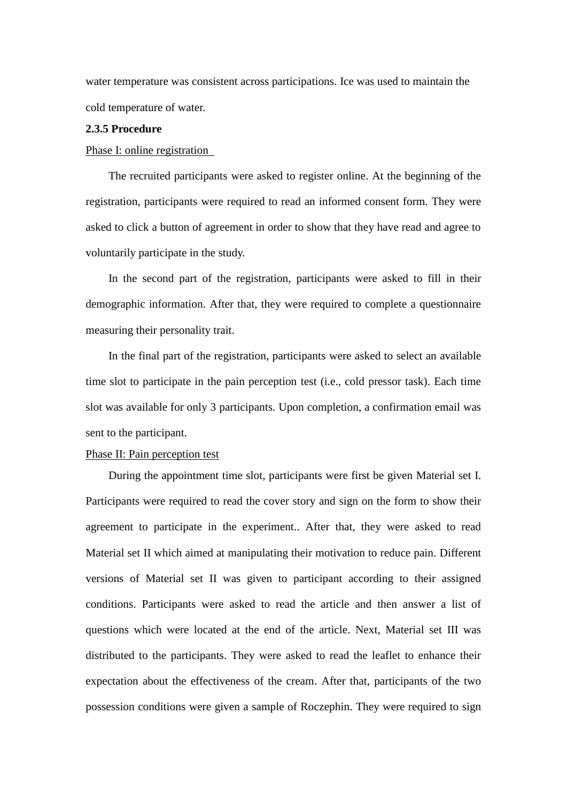water temperature was consistent across participations. Ice was used to maintain the cold temperature of water.

#### **2.3.5 Procedure**

#### Phase I: online registration

The recruited participants were asked to register online. At the beginning of the registration, participants were required to read an informed consent form. They were asked to click a button of agreement in order to show that they have read and agree to voluntarily participate in the study.

In the second part of the registration, participants were asked to fill in their demographic information. After that, they were required to complete a questionnaire measuring their personality trait.

In the final part of the registration, participants were asked to select an available time slot to participate in the pain perception test (i.e., cold pressor task). Each time slot was available for only 3 participants. Upon completion, a confirmation email was sent to the participant.

#### Phase II: Pain perception test

During the appointment time slot, participants were first be given Material set I. Participants were required to read the cover story and sign on the form to show their agreement to participate in the experiment.. After that, they were asked to read Material set II which aimed at manipulating their motivation to reduce pain. Different versions of Material set II was given to participant according to their assigned conditions. Participants were asked to read the article and then answer a list of questions which were located at the end of the article. Next, Material set III was distributed to the participants. They were asked to read the leaflet to enhance their expectation about the effectiveness of the cream. After that, participants of the two possession conditions were given a sample of Roczephin. They were required to sign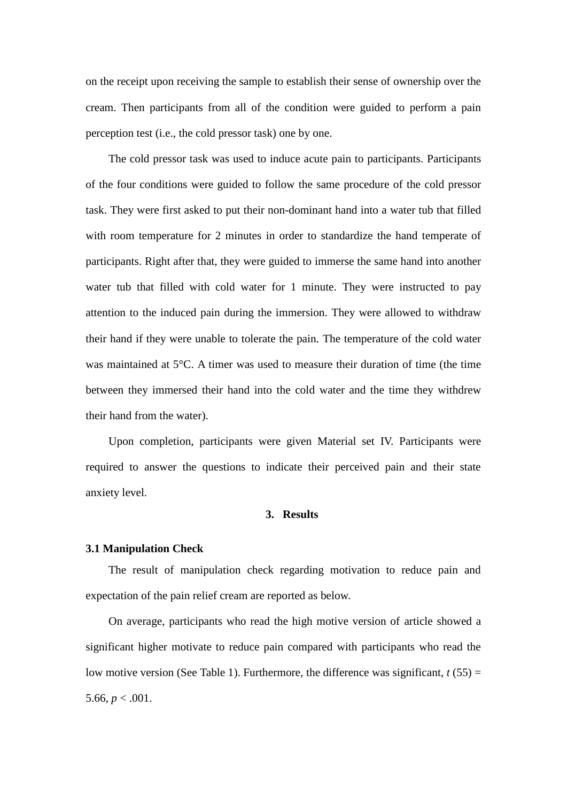on the receipt upon receiving the sample to establish their sense of ownership over the cream. Then participants from all of the condition were guided to perform a pain perception test (i.e., the cold pressor task) one by one.

The cold pressor task was used to induce acute pain to participants. Participants of the four conditions were guided to follow the same procedure of the cold pressor task. They were first asked to put their non-dominant hand into a water tub that filled with room temperature for 2 minutes in order to standardize the hand temperate of participants. Right after that, they were guided to immerse the same hand into another water tub that filled with cold water for 1 minute. They were instructed to pay attention to the induced pain during the immersion. They were allowed to withdraw their hand if they were unable to tolerate the pain. The temperature of the cold water was maintained at 5°C. A timer was used to measure their duration of time (the time between they immersed their hand into the cold water and the time they withdrew their hand from the water).

Upon completion, participants were given Material set IV. Participants were required to answer the questions to indicate their perceived pain and their state anxiety level.

#### **3. Results**

#### **3.1 Manipulation Check**

The result of manipulation check regarding motivation to reduce pain and expectation of the pain relief cream are reported as below.

On average, participants who read the high motive version of article showed a significant higher motivate to reduce pain compared with participants who read the low motive version (See Table 1). Furthermore, the difference was significant,  $t(55)$  = 5.66,  $p < .001$ .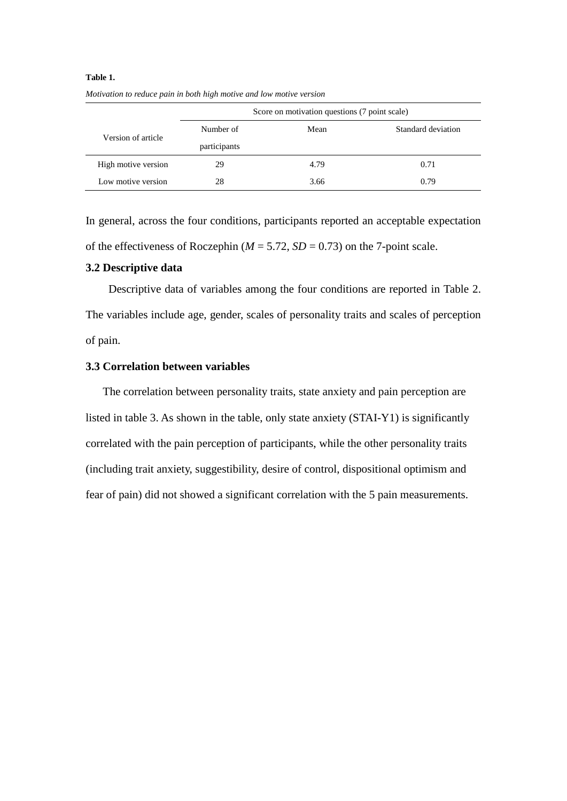|                     | Score on motivation questions (7 point scale) |      |                    |  |
|---------------------|-----------------------------------------------|------|--------------------|--|
| Version of article  | Number of                                     | Mean | Standard deviation |  |
|                     | participants                                  |      |                    |  |
| High motive version | 29                                            | 4.79 | 0.71               |  |
| Low motive version  | 28                                            | 3.66 | 0.79               |  |

# **Table 1.** *Motivation to reduce pain in both high motive and low motive version*

In general, across the four conditions, participants reported an acceptable expectation of the effectiveness of Roczephin ( $M = 5.72$ ,  $SD = 0.73$ ) on the 7-point scale.

# **3.2 Descriptive data**

Descriptive data of variables among the four conditions are reported in Table 2. The variables include age, gender, scales of personality traits and scales of perception of pain.

# **3.3 Correlation between variables**

The correlation between personality traits, state anxiety and pain perception are listed in table 3. As shown in the table, only state anxiety (STAI-Y1) is significantly correlated with the pain perception of participants, while the other personality traits (including trait anxiety, suggestibility, desire of control, dispositional optimism and fear of pain) did not showed a significant correlation with the 5 pain measurements.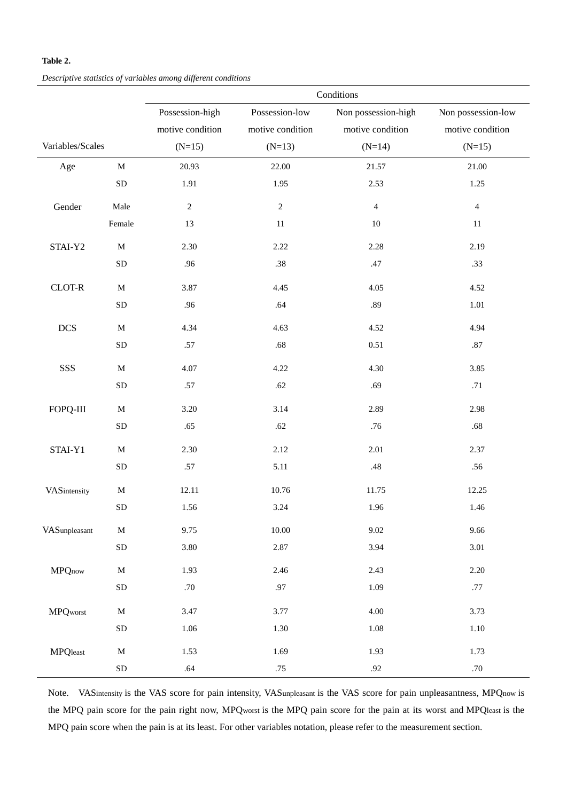#### **Table 2.**

*Descriptive statistics of variables among different conditions*

|                  |              | Conditions       |                  |                     |                    |  |
|------------------|--------------|------------------|------------------|---------------------|--------------------|--|
|                  |              | Possession-high  | Possession-low   | Non possession-high | Non possession-low |  |
|                  |              | motive condition | motive condition | motive condition    | motive condition   |  |
| Variables/Scales |              | $(N=15)$         | $(N=13)$         | $(N=14)$            | $(N=15)$           |  |
| Age              | $\mathbf M$  | 20.93            | 22.00            | 21.57               | 21.00              |  |
|                  | SD           | 1.91             | 1.95             | 2.53                | 1.25               |  |
| Gender           | Male         | $\sqrt{2}$       | $\sqrt{2}$       | $\overline{4}$      | $\overline{4}$     |  |
|                  | Female       | 13               | $11\,$           | $10\,$              | $11\,$             |  |
| STAI-Y2          | $\mathbf M$  | 2.30             | 2.22             | 2.28                | 2.19               |  |
|                  | SD           | .96              | $.38\,$          | .47                 | .33                |  |
| $CLOT-R$         | $\mathbf M$  | 3.87             | 4.45             | 4.05                | 4.52               |  |
|                  | ${\rm SD}$   | .96              | .64              | .89                 | 1.01               |  |
| <b>DCS</b>       | $\mathbf M$  | 4.34             | 4.63             | 4.52                | 4.94               |  |
|                  | <b>SD</b>    | .57              | $.68\,$          | 0.51                | $.87\,$            |  |
| SSS              | $\mathbf M$  | 4.07             | 4.22             | 4.30                | 3.85               |  |
|                  | SD           | .57              | .62              | .69                 | .71                |  |
| FOPQ-III         | $\mathbf M$  | 3.20             | 3.14             | 2.89                | 2.98               |  |
|                  | ${\rm SD}$   | .65              | .62              | .76                 | .68                |  |
| STAI-Y1          | $\mathbf M$  | 2.30             | 2.12             | 2.01                | 2.37               |  |
|                  | ${\rm SD}$   | $.57\,$          | 5.11             | $.48\,$             | .56                |  |
| VASintensity     | $\mathbf{M}$ | 12.11            | $10.76\,$        | 11.75               | 12.25              |  |
|                  | <b>SD</b>    | 1.56             | 3.24             | 1.96                | 1.46               |  |
| VASunpleasant    | $\mathbf M$  | 9.75             | 10.00            | 9.02                | 9.66               |  |
|                  | ${\rm SD}$   | 3.80             | 2.87             | 3.94                | 3.01               |  |
| <b>MPQnow</b>    | $\mathbf M$  | 1.93             | 2.46             | 2.43                | 2.20               |  |
|                  | SD           | $.70\,$          | $.97\,$          | 1.09                | .77                |  |
| <b>MPQworst</b>  | $\mathbf M$  | 3.47             | 3.77             | 4.00                | 3.73               |  |
|                  | ${\rm SD}$   | 1.06             | 1.30             | $1.08\,$            | 1.10               |  |
| <b>MPQ</b> least | $\mathbf M$  | 1.53             | 1.69             | 1.93                | 1.73               |  |
|                  | ${\rm SD}$   | .64              | .75              | .92                 | $.70\,$            |  |

Note. VASintensity is the VAS score for pain intensity, VASunpleasant is the VAS score for pain unpleasantness, MPQnow is the MPQ pain score for the pain right now, MPQworst is the MPQ pain score for the pain at its worst and MPQleast is the MPQ pain score when the pain is at its least. For other variables notation, please refer to the measurement section.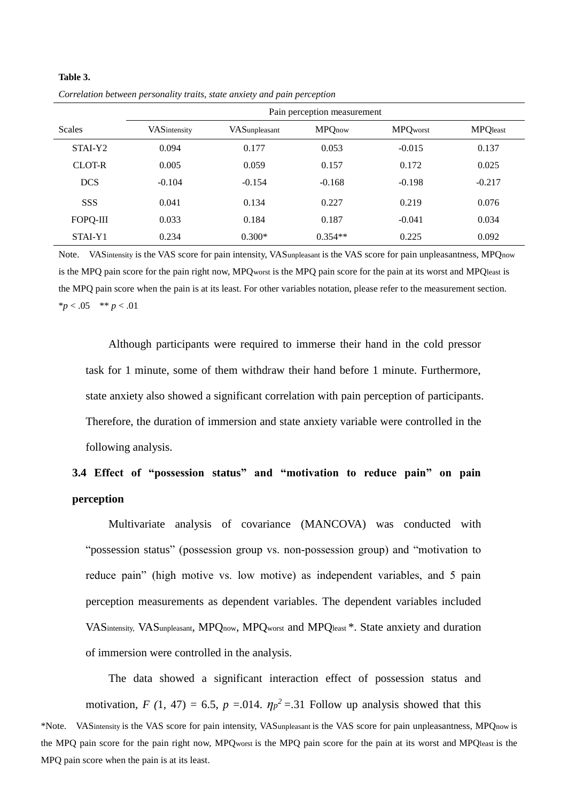|                     | Pain perception measurement |               |               |                 |                  |  |
|---------------------|-----------------------------|---------------|---------------|-----------------|------------------|--|
| <b>Scales</b>       | VASintensity                | VASunpleasant | <b>MPQnow</b> | <b>MPQworst</b> | <b>MPQ</b> least |  |
| STAI-Y <sub>2</sub> | 0.094                       | 0.177         | 0.053         | $-0.015$        | 0.137            |  |
| CLOT-R              | 0.005                       | 0.059         | 0.157         | 0.172           | 0.025            |  |
| <b>DCS</b>          | $-0.104$                    | $-0.154$      | $-0.168$      | $-0.198$        | $-0.217$         |  |
| <b>SSS</b>          | 0.041                       | 0.134         | 0.227         | 0.219           | 0.076            |  |
| FOPO-III            | 0.033                       | 0.184         | 0.187         | $-0.041$        | 0.034            |  |
| STAI-Y1             | 0.234                       | $0.300*$      | $0.354**$     | 0.225           | 0.092            |  |

*Correlation between personality traits, state anxiety and pain perception*

**Table 3.**

Note. VASintensity is the VAS score for pain intensity, VASunpleasant is the VAS score for pain unpleasantness, MPQnow is the MPQ pain score for the pain right now, MPQworst is the MPQ pain score for the pain at its worst and MPQleast is the MPQ pain score when the pain is at its least. For other variables notation, please refer to the measurement section.  $**p* < .05$  \*\* *p* < .01

Although participants were required to immerse their hand in the cold pressor task for 1 minute, some of them withdraw their hand before 1 minute. Furthermore, state anxiety also showed a significant correlation with pain perception of participants. Therefore, the duration of immersion and state anxiety variable were controlled in the following analysis.

# **3.4 Effect of "possession status" and "motivation to reduce pain" on pain perception**

Multivariate analysis of covariance (MANCOVA) was conducted with "possession status" (possession group vs. non-possession group) and "motivation to reduce pain" (high motive vs. low motive) as independent variables, and 5 pain perception measurements as dependent variables. The dependent variables included VASintensity, VASunpleasant, MPQnow, MPQworst and MPQleast \*. State anxiety and duration of immersion were controlled in the analysis.

The data showed a significant interaction effect of possession status and motivation, *F* (1, 47) = 6.5, *p* = 0.014.  $\eta p^2$  = 31 Follow up analysis showed that this \*Note. VASintensity is the VAS score for pain intensity, VASunpleasant is the VAS score for pain unpleasantness, MPQnow is the MPQ pain score for the pain right now, MPQworst is the MPQ pain score for the pain at its worst and MPQleast is the MPQ pain score when the pain is at its least.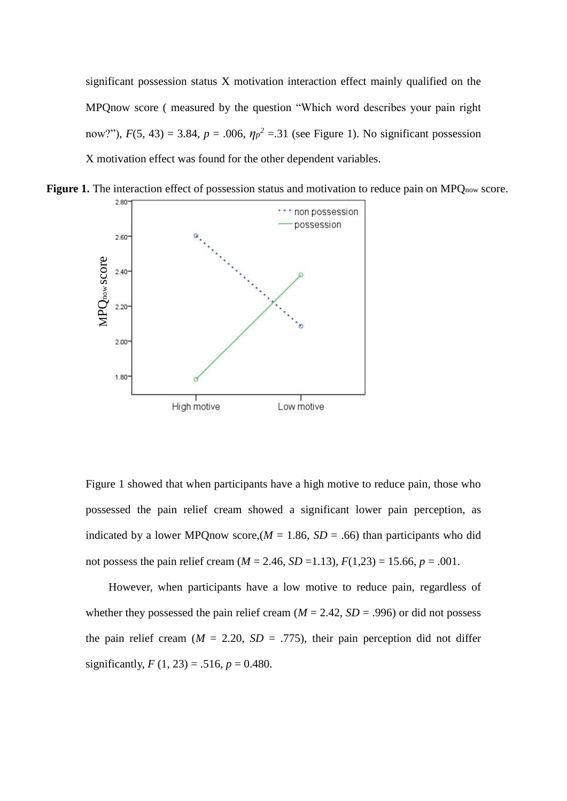significant possession status X motivation interaction effect mainly qualified on the MPQnow score ( measured by the question "Which word describes your pain right now?"),  $F(5, 43) = 3.84$ ,  $p = .006$ ,  $\eta p^2 = .31$  (see Figure 1). No significant possession X motivation effect was found for the other dependent variables.



**Figure 1.** The interaction effect of possession status and motivation to reduce pain on MPQ<sub>now</sub> score.

Figure 1 showed that when participants have a high motive to reduce pain, those who possessed the pain relief cream showed a significant lower pain perception, as indicated by a lower MPQnow score,  $(M = 1.86, SD = .66)$  than participants who did not possess the pain relief cream ( $M = 2.46$ ,  $SD = 1.13$ ),  $F(1,23) = 15.66$ ,  $p = .001$ .

However, when participants have a low motive to reduce pain, regardless of whether they possessed the pain relief cream  $(M = 2.42, SD = .996)$  or did not possess the pain relief cream  $(M = 2.20, SD = .775)$ , their pain perception did not differ significantly,  $F(1, 23) = .516$ ,  $p = 0.480$ .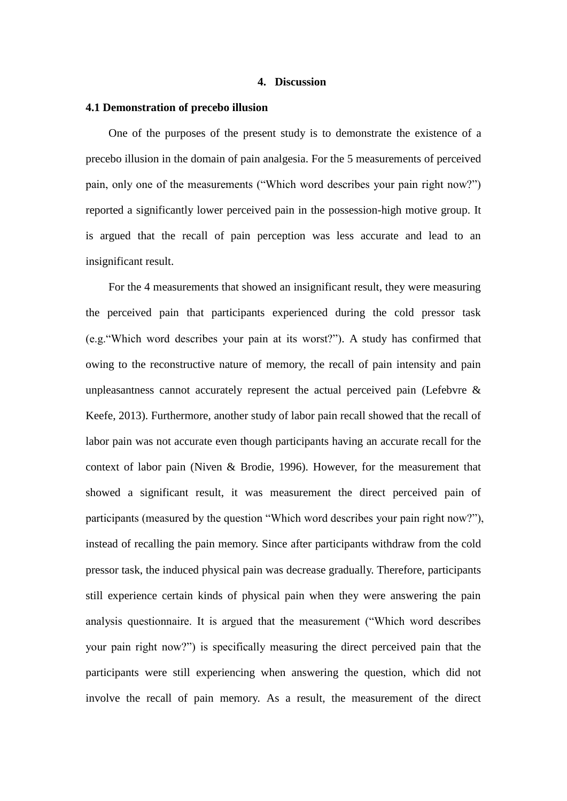#### **4. Discussion**

#### **4.1 Demonstration of precebo illusion**

One of the purposes of the present study is to demonstrate the existence of a precebo illusion in the domain of pain analgesia. For the 5 measurements of perceived pain, only one of the measurements ("Which word describes your pain right now?") reported a significantly lower perceived pain in the possession-high motive group. It is argued that the recall of pain perception was less accurate and lead to an insignificant result.

For the 4 measurements that showed an insignificant result, they were measuring the perceived pain that participants experienced during the cold pressor task (e.g."Which word describes your pain at its worst?"). A study has confirmed that owing to the reconstructive nature of memory, the recall of pain intensity and pain unpleasantness cannot accurately represent the actual perceived pain (Lefebvre  $\&$ Keefe, 2013). Furthermore, another study of labor pain recall showed that the recall of labor pain was not accurate even though participants having an accurate recall for the context of labor pain (Niven & Brodie, 1996). However, for the measurement that showed a significant result, it was measurement the direct perceived pain of participants (measured by the question "Which word describes your pain right now?"), instead of recalling the pain memory. Since after participants withdraw from the cold pressor task, the induced physical pain was decrease gradually. Therefore, participants still experience certain kinds of physical pain when they were answering the pain analysis questionnaire. It is argued that the measurement ("Which word describes your pain right now?") is specifically measuring the direct perceived pain that the participants were still experiencing when answering the question, which did not involve the recall of pain memory. As a result, the measurement of the direct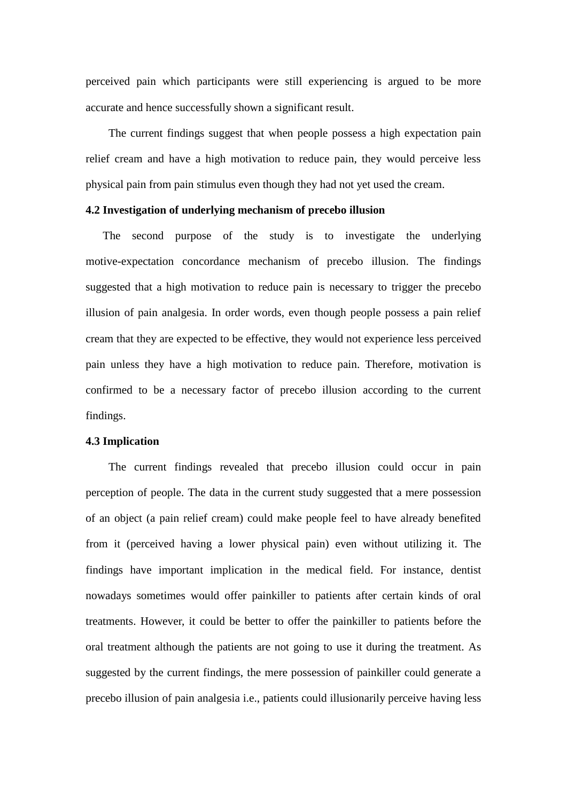perceived pain which participants were still experiencing is argued to be more accurate and hence successfully shown a significant result.

The current findings suggest that when people possess a high expectation pain relief cream and have a high motivation to reduce pain, they would perceive less physical pain from pain stimulus even though they had not yet used the cream.

#### **4.2 Investigation of underlying mechanism of precebo illusion**

The second purpose of the study is to investigate the underlying motive-expectation concordance mechanism of precebo illusion. The findings suggested that a high motivation to reduce pain is necessary to trigger the precebo illusion of pain analgesia. In order words, even though people possess a pain relief cream that they are expected to be effective, they would not experience less perceived pain unless they have a high motivation to reduce pain. Therefore, motivation is confirmed to be a necessary factor of precebo illusion according to the current findings.

#### **4.3 Implication**

The current findings revealed that precebo illusion could occur in pain perception of people. The data in the current study suggested that a mere possession of an object (a pain relief cream) could make people feel to have already benefited from it (perceived having a lower physical pain) even without utilizing it. The findings have important implication in the medical field. For instance, dentist nowadays sometimes would offer painkiller to patients after certain kinds of oral treatments. However, it could be better to offer the painkiller to patients before the oral treatment although the patients are not going to use it during the treatment. As suggested by the current findings, the mere possession of painkiller could generate a precebo illusion of pain analgesia i.e., patients could illusionarily perceive having less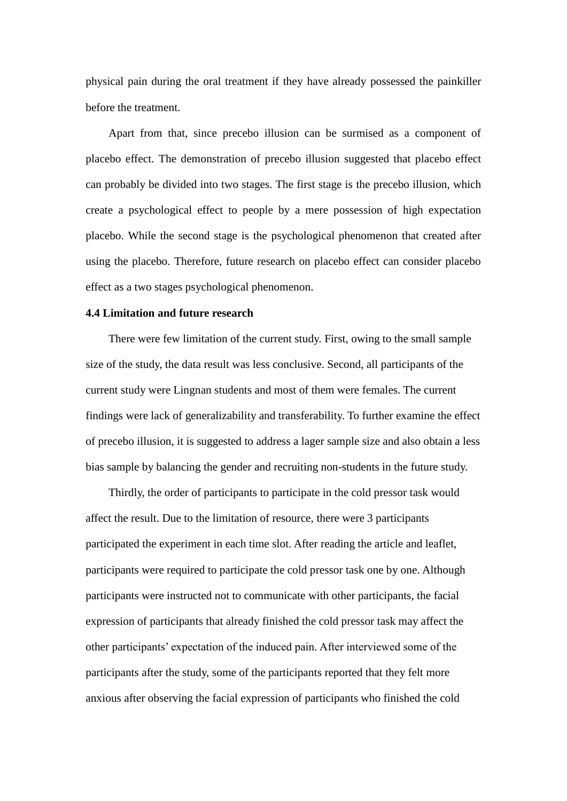physical pain during the oral treatment if they have already possessed the painkiller before the treatment.

Apart from that, since precebo illusion can be surmised as a component of placebo effect. The demonstration of precebo illusion suggested that placebo effect can probably be divided into two stages. The first stage is the precebo illusion, which create a psychological effect to people by a mere possession of high expectation placebo. While the second stage is the psychological phenomenon that created after using the placebo. Therefore, future research on placebo effect can consider placebo effect as a two stages psychological phenomenon.

#### **4.4 Limitation and future research**

There were few limitation of the current study. First, owing to the small sample size of the study, the data result was less conclusive. Second, all participants of the current study were Lingnan students and most of them were females. The current findings were lack of generalizability and transferability. To further examine the effect of precebo illusion, it is suggested to address a lager sample size and also obtain a less bias sample by balancing the gender and recruiting non-students in the future study.

Thirdly, the order of participants to participate in the cold pressor task would affect the result. Due to the limitation of resource, there were 3 participants participated the experiment in each time slot. After reading the article and leaflet, participants were required to participate the cold pressor task one by one. Although participants were instructed not to communicate with other participants, the facial expression of participants that already finished the cold pressor task may affect the other participants' expectation of the induced pain. After interviewed some of the participants after the study, some of the participants reported that they felt more anxious after observing the facial expression of participants who finished the cold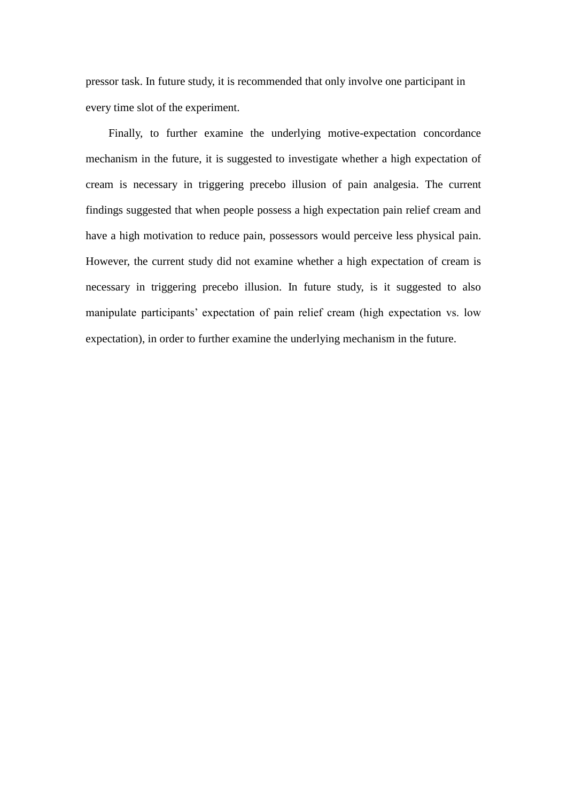pressor task. In future study, it is recommended that only involve one participant in every time slot of the experiment.

Finally, to further examine the underlying motive-expectation concordance mechanism in the future, it is suggested to investigate whether a high expectation of cream is necessary in triggering precebo illusion of pain analgesia. The current findings suggested that when people possess a high expectation pain relief cream and have a high motivation to reduce pain, possessors would perceive less physical pain. However, the current study did not examine whether a high expectation of cream is necessary in triggering precebo illusion. In future study, is it suggested to also manipulate participants' expectation of pain relief cream (high expectation vs. low expectation), in order to further examine the underlying mechanism in the future.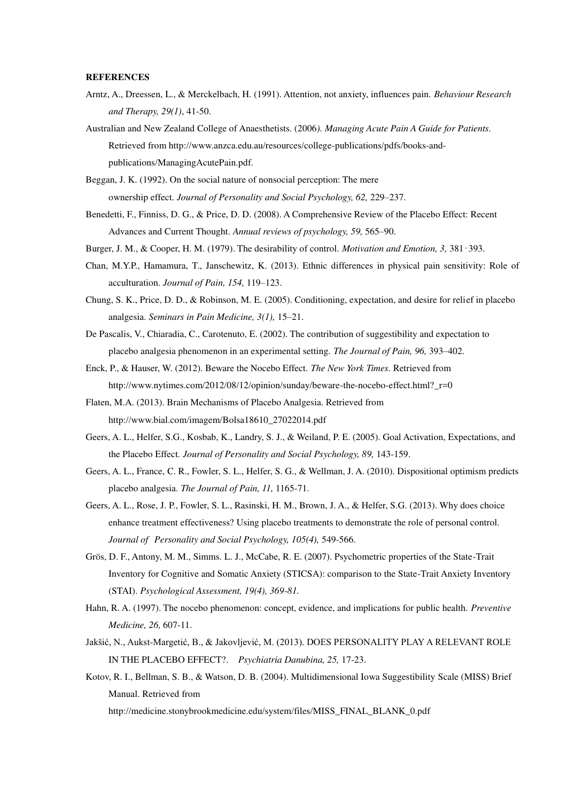#### **REFERENCES**

- Arntz, A., Dreessen, L., & Merckelbach, H. (1991). Attention, not anxiety, influences pain. *Behaviour Research and Therapy, 29(1)*, 41-50.
- Australian and New Zealand College of Anaesthetists. (2006*). Managing Acute Pain A Guide for Patients.* Retrieved from http://www.anzca.edu.au/resources/college-publications/pdfs/books-and publications/ManagingAcutePain.pdf.
- Beggan, J. K. (1992). On the social nature of nonsocial perception: The mere ownership effect. *Journal of Personality and Social Psychology, 62,* 229–237.
- Benedetti, F., Finniss, D. G., & Price, D. D. (2008). A Comprehensive Review of the Placebo Effect: Recent Advances and Current Thought. *Annual reviews of psychology, 59,* 565–90.
- Burger, J. M., & Cooper, H. M. (1979). The desirability of control. *Motivation and Emotion, 3,* 381‑393.
- Chan, M.Y.P., Hamamura, T., Janschewitz, K. (2013). Ethnic differences in physical pain sensitivity: Role of acculturation. *Journal of Pain, 154,* 119–123.
- Chung, S. K., Price, D. D., & Robinson, M. E. (2005). Conditioning, expectation, and desire for relief in placebo analgesia. *Seminars in Pain Medicine, 3(1),* 15–21.
- De Pascalis, V., Chiaradia, C., Carotenuto, E. (2002). The contribution of suggestibility and expectation to placebo analgesia phenomenon in an experimental setting. *The Journal of Pain, 96,* 393–402.
- Enck, P., & Hauser, W. (2012). Beware the Nocebo Effect. *The New York Times.* Retrieved from http://www.nytimes.com/2012/08/12/opinion/sunday/beware-the-nocebo-effect.html?\_r=0
- Flaten, M.A. (2013). Brain Mechanisms of Placebo Analgesia. Retrieved from http://www.bial.com/imagem/Bolsa18610\_27022014.pdf
- Geers, A. L., Helfer, S.G., Kosbab, K., Landry, S. J., & Weiland, P. E. (2005). Goal Activation, Expectations, and the Placebo Effect*. Journal of Personality and Social Psychology, 89,* 143-159.
- Geers, A. L., France, C. R., Fowler, S. L., Helfer, S. G., & Wellman, J. A. (2010). Dispositional optimism predicts placebo analgesia. *The Journal of Pain, 11,* 1165-71.
- Geers, A. L., Rose, J. P., Fowler, S. L., Rasinski, H. M., Brown, J. A., & Helfer, S.G. (2013). Why does choice enhance treatment effectiveness? Using placebo treatments to demonstrate the role of personal control. *Journal of Personality and Social Psychology, 105(4),* 549-566.
- Grös, D. F., Antony, M. M., Simms. L. J., McCabe, R. E. (2007). Psychometric properties of the State-Trait Inventory for Cognitive and Somatic Anxiety (STICSA): comparison to the State-Trait Anxiety Inventory (STAI). *Psychological Assessment, 19(4), 369-81.*
- Hahn, R. A. (1997). The nocebo phenomenon: concept, evidence, and implications for public health. *Preventive Medicine, 26,* 607-11.
- Jakšić, N., Aukst-Margetić, B., & Jakovljević, M. (2013). DOES PERSONALITY PLAY A RELEVANT ROLE IN THE PLACEBO EFFECT?. *Psychiatria Danubina, 25,* 17-23.
- Kotov, R. I., Bellman, S. B., & Watson, D. B. (2004). Multidimensional Iowa Suggestibility Scale (MISS) Brief Manual. Retrieved from

http://medicine.stonybrookmedicine.edu/system/files/MISS\_FINAL\_BLANK\_0.pdf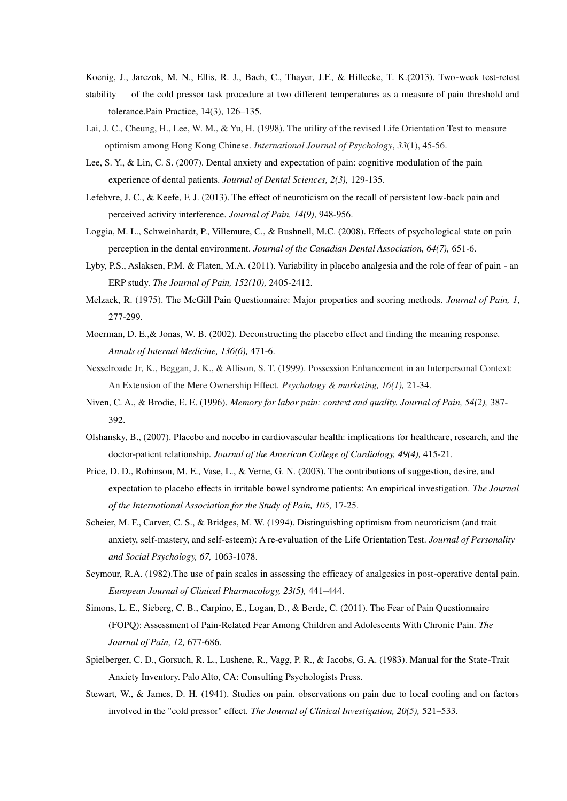Koenig, J., Jarczok, M. N., Ellis, R. J., Bach, C., Thayer, J.F., & Hillecke, T. K.(2013). Two-week test-retest

- stability of the cold pressor task procedure at two different temperatures as a measure of pain threshold and tolerance.Pain Practice, 14(3), 126–135.
- Lai, J. C., Cheung, H., Lee, W. M., & Yu, H. (1998). The utility of the revised Life Orientation Test to measure optimism among Hong Kong Chinese. *International Journal of Psychology*, *33*(1), 45-56.
- Lee, S. Y., & Lin, C. S. (2007). Dental anxiety and expectation of pain: cognitive modulation of the pain experience of dental patients. *Journal of Dental Sciences, 2(3),* 129-135.
- Lefebvre, J. C., & Keefe, F. J. (2013). The effect of neuroticism on the recall of persistent low-back pain and perceived activity interference*. Journal of Pain, 14(9)*, 948-956.
- Loggia, M. L., Schweinhardt, P., Villemure, C., & Bushnell, M.C. (2008). Effects of psychological state on pain perception in the dental environment. *Journal of the Canadian Dental Association, 64(7),* 651-6.
- Lyby, P.S., Aslaksen, P.M. & Flaten, M.A. (2011). Variability in placebo analgesia and the role of fear of pain an ERP study. *The Journal of Pain, 152(10),* 2405-2412.
- Melzack, R. (1975). The McGill Pain Questionnaire: Major properties and scoring methods. *Journal of Pain, 1*, 277-299.
- Moerman, D. E.,& Jonas, W. B. (2002). Deconstructing the placebo effect and finding the meaning response. *Annals of Internal Medicine, 136(6),* 471-6.
- Nesselroade Jr, K., Beggan, J. K., & Allison, S. T. (1999). Possession Enhancement in an Interpersonal Context: An Extension of the Mere Ownership Effect. *Psychology & marketing, 16(1),* 21-34.
- Niven, C. A., & Brodie, E. E. (1996). *Memory for labor pain: context and quality. Journal of Pain, 54(2),* 387- 392.
- Olshansky, B., (2007). Placebo and nocebo in cardiovascular health: implications for healthcare, research, and the doctor-patient relationship. *Journal of the American College of Cardiology, 49(4),* 415-21.
- Price, D. D., Robinson, M. E., Vase, L., & Verne, G. N. (2003). The contributions of suggestion, desire, and expectation to placebo effects in irritable bowel syndrome patients: An empirical investigation. *The Journal of the International Association for the Study of Pain, 105,* 17-25.
- Scheier, M. F., Carver, C. S., & Bridges, M. W. (1994). Distinguishing optimism from neuroticism (and trait anxiety, self-mastery, and self-esteem): A re-evaluation of the Life Orientation Test. *Journal of Personality and Social Psychology, 67,* 1063-1078.
- Seymour, R.A. (1982).The use of pain scales in assessing the efficacy of analgesics in post-operative dental pain.  *European Journal of Clinical Pharmacology, 23(5),* 441–444.
- Simons, L. E., Sieberg, C. B., Carpino, E., Logan, D., & Berde, C. (2011). The Fear of Pain Questionnaire (FOPQ): Assessment of Pain-Related Fear Among Children and Adolescents With Chronic Pain. *The Journal of Pain, 12,* 677-686.
- Spielberger, C. D., Gorsuch, R. L., Lushene, R., Vagg, P. R., & Jacobs, G. A. (1983). Manual for the State-Trait Anxiety Inventory. Palo Alto, CA: Consulting Psychologists Press.
- Stewart, W., & James, D. H. (1941). Studies on pain. observations on pain due to local cooling and on factors involved in the "cold pressor" effect. *The Journal of Clinical Investigation, 20(5),* 521–533.